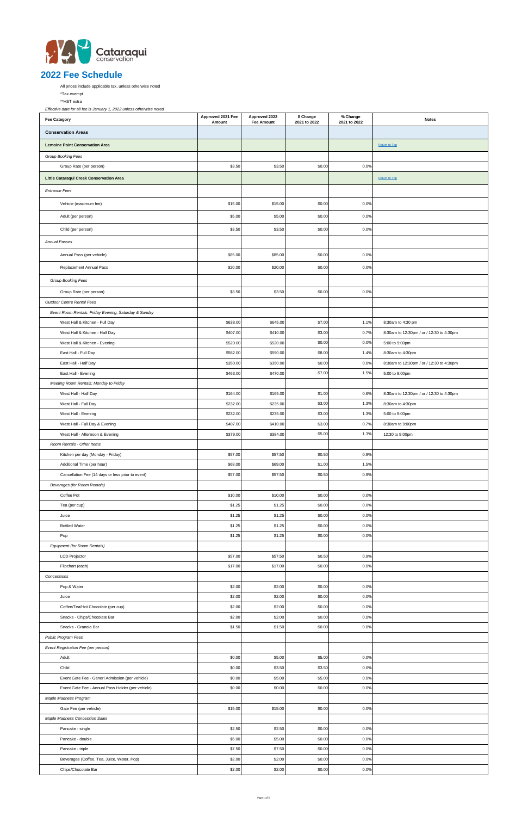

All prices include applicable tax, unless otherwise noted

\*Tax exempt

\*\*HST extra

| <b>Fee Category</b>                                   | Approved 2021 Fee<br>Amount | Approved 2022<br><b>Fee Amount</b> | \$ Change<br>2021 to 2022 | % Change<br>2021 to 2022 | <b>Notes</b>                             |
|-------------------------------------------------------|-----------------------------|------------------------------------|---------------------------|--------------------------|------------------------------------------|
| <b>Conservation Areas</b>                             |                             |                                    |                           |                          |                                          |
| <b>Lemoine Point Conservation Area</b>                |                             |                                    |                           |                          | Return to Top                            |
| Group Booking Fees                                    |                             |                                    |                           |                          |                                          |
| Group Rate (per person)                               | \$3.50                      | \$3.50                             | \$0.00                    | 0.0%                     |                                          |
| Little Cataraqui Creek Conservation Area              |                             |                                    |                           |                          | Return to Top                            |
|                                                       |                             |                                    |                           |                          |                                          |
| <b>Entrance Fees</b>                                  |                             |                                    |                           |                          |                                          |
| Vehicle (maximum fee)                                 | \$15.00                     | \$15.00                            | \$0.00                    | 0.0%                     |                                          |
| Adult (per person)                                    | \$5.00                      | \$5.00                             | \$0.00                    | 0.0%                     |                                          |
| Child (per person)                                    | \$3.50                      | \$3.50                             | \$0.00                    | 0.0%                     |                                          |
| <b>Annual Passes</b>                                  |                             |                                    |                           |                          |                                          |
| Annual Pass (per vehicle)                             | \$85.00                     | \$85.00                            | \$0.00                    | 0.0%                     |                                          |
| Replacement Annual Pass                               | \$20.00                     | \$20.00                            | \$0.00                    | 0.0%                     |                                          |
| Group Booking Fees                                    |                             |                                    |                           |                          |                                          |
| Group Rate (per person)                               | \$3.50                      | \$3.50                             | \$0.00                    | 0.0%                     |                                          |
| Outdoor Centre Rental Fees                            |                             |                                    |                           |                          |                                          |
| Event Room Rentals: Friday Evening, Saturday & Sunday |                             |                                    |                           |                          |                                          |
| West Hall & Kitchen - Full Day                        | \$638.00                    | \$645.00                           | \$7.00                    | 1.1%                     | 8:30am to 4:30 pm                        |
| West Hall & Kitchen - Half Day                        | \$407.00                    | \$410.00                           | \$3.00                    | 0.7%                     | 8:30am to 12:30pm / or / 12:30 to 4:30pm |
| West Hall & Kitchen - Evening                         | \$520.00                    | \$520.00                           | \$0.00                    | 0.0%                     | 5:00 to 9:00pm                           |
| East Hall - Full Day                                  | \$582.00                    | \$590.00                           | \$8.00                    | 1.4%                     | 8:30am to 4:30pm                         |
| East Hall - Half Day                                  | \$350.00                    | \$350.00                           | \$0.00                    | 0.0%                     | 8:30am to 12:30pm / or / 12:30 to 4:30pm |
| East Hall - Evening                                   | \$463.00                    | \$470.00                           | \$7.00                    | 1.5%                     | 5:00 to 9:00pm                           |
| Meeting Room Rentals: Monday to Friday                |                             |                                    |                           |                          |                                          |
| West Hall - Half Day                                  | \$164.00                    | \$165.00                           | \$1.00                    | 0.6%                     | 8:30am to 12:30pm / or / 12:30 to 4:30pm |
| West Hall - Full Day                                  | \$232.00                    | \$235.00                           | \$3.00                    | 1.3%                     | 8:30am to 4:30pm                         |
| West Hall - Evening                                   | \$232.00                    | \$235.00                           | \$3.00                    | 1.3%                     | 5:00 to 9:00pm                           |
| West Hall - Full Day & Evening                        | \$407.00                    | \$410.00                           | \$3.00                    | 0.7%                     | 8:30am to 9:00pm                         |
| West Hall - Afternoon & Evening                       | \$379.00                    | \$384.00                           | \$5.00                    | 1.3%                     | 12:30 to 9:00pm                          |
| Room Rentals - Other Items                            |                             |                                    |                           |                          |                                          |
| Kitchen per day (Monday - Friday)                     | \$57.00                     | \$57.50                            | \$0.50                    | 0.9%                     |                                          |
| Additional Time (per hour)                            | \$68.00                     | \$69.00                            | \$1.00                    | 1.5%                     |                                          |
| Cancellation Fee (14 days or less prior to event)     | \$57.00                     | \$57.50                            | \$0.50                    | 0.9%                     |                                          |
| Beverages (for Room Rentals)                          |                             |                                    |                           |                          |                                          |
| Coffee Pot<br>Tea (per cup)                           | \$10.00<br>\$1.25           | \$10.00<br>\$1.25                  | \$0.00<br>\$0.00          | 0.0%<br>0.0%             |                                          |
| Juice                                                 | \$1.25                      | \$1.25                             | \$0.00                    | 0.0%                     |                                          |
| <b>Bottled Water</b>                                  | \$1.25                      | \$1.25                             | \$0.00                    | 0.0%                     |                                          |
| Pop                                                   | \$1.25                      | \$1.25                             | \$0.00                    | 0.0%                     |                                          |
| Equipment (for Room Rentals)                          |                             |                                    |                           |                          |                                          |
| <b>LCD Projector</b>                                  | \$57.00                     | \$57.50                            | \$0.50                    | 0.9%                     |                                          |
| Flipchart (each)                                      | \$17.00                     | \$17.00                            | \$0.00                    | 0.0%                     |                                          |
| Concessions                                           |                             |                                    |                           |                          |                                          |
| Pop & Water                                           | \$2.00                      | \$2.00                             | \$0.00                    | 0.0%                     |                                          |
| Juice                                                 | \$2.00                      | \$2.00                             | \$0.00                    | 0.0%                     |                                          |
| Coffee/Tea/Hot Chocolate (per cup)                    | \$2.00                      | \$2.00                             | \$0.00                    | 0.0%                     |                                          |
| Snacks - Chips/Chocolate Bar                          | \$2.00                      | \$2.00                             | \$0.00                    | 0.0%                     |                                          |
| Snacks - Granola Bar                                  | \$1.50                      | \$1.50                             | \$0.00                    | 0.0%                     |                                          |
| Public Program Fees                                   |                             |                                    |                           |                          |                                          |
| Event Registration Fee (per person)                   |                             |                                    |                           |                          |                                          |
| Adult                                                 | \$0.00                      | \$5.00                             | \$5.00                    | 0.0%                     |                                          |
| Child                                                 | \$0.00                      | \$3.50                             | \$3.50                    | 0.0%                     |                                          |
| Event Gate Fee - Generl Admission (per vehicle)       | \$0.00                      | \$5.00                             | \$5.00                    | 0.0%                     |                                          |
| Event Gate Fee - Annual Pass Holder (per vehicle)     | \$0.00                      | \$0.00                             | \$0.00                    | 0.0%                     |                                          |
| Maple Madness Program                                 |                             |                                    |                           |                          |                                          |
| Gate Fee (per vehicle)                                | \$15.00                     | \$15.00                            | \$0.00                    | 0.0%                     |                                          |
| Maple Madness Concession Sales                        |                             |                                    |                           |                          |                                          |
| Pancake - single                                      | \$2.50                      | \$2.50                             | \$0.00                    | 0.0%                     |                                          |
| Pancake - double<br>Pancake - triple                  | \$5.00<br>\$7.50            | \$5.00<br>\$7.50                   | \$0.00<br>\$0.00          | 0.0%<br>0.0%             |                                          |
| Beverages (Coffee, Tea, Juice, Water, Pop)            | \$2.00                      | \$2.00                             | \$0.00                    | 0.0%                     |                                          |
| Chips/Chocolate Bar                                   | \$2.00                      | \$2.00                             | \$0.00                    | 0.0%                     |                                          |
|                                                       |                             |                                    |                           |                          |                                          |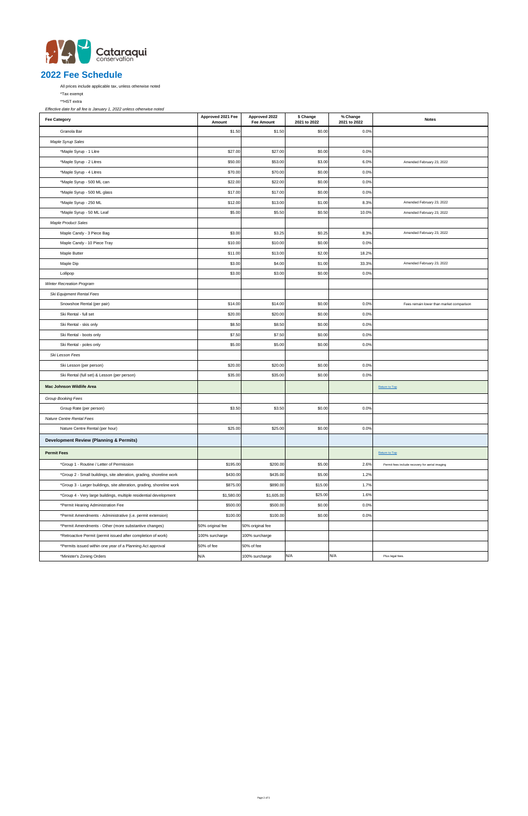

All prices include applicable tax, unless otherwise noted

\*Tax exempt

\*\*HST extra

| <b>Fee Category</b>                                                   | Approved 2021 Fee<br>Amount | Approved 2022<br><b>Fee Amount</b> | \$ Change<br>2021 to 2022 | % Change<br>2021 to 2022 | <b>Notes</b>                                    |
|-----------------------------------------------------------------------|-----------------------------|------------------------------------|---------------------------|--------------------------|-------------------------------------------------|
| Granola Bar                                                           | \$1.50                      | \$1.50                             | \$0.00                    | 0.0%                     |                                                 |
| Maple Syrup Sales                                                     |                             |                                    |                           |                          |                                                 |
| *Maple Syrup - 1 Litre                                                | \$27.00                     | \$27.00                            | \$0.00                    | 0.0%                     |                                                 |
| *Maple Syrup - 2 Litres                                               | \$50.00                     | \$53.00                            | \$3.00                    | 6.0%                     | Amended February 23, 2022                       |
| *Maple Syrup - 4 Litres                                               | \$70.00                     | \$70.00                            | \$0.00                    | 0.0%                     |                                                 |
| *Maple Syrup - 500 ML can                                             | \$22.00                     | \$22.00                            | \$0.00                    | 0.0%                     |                                                 |
| *Maple Syrup - 500 ML glass                                           | \$17.00                     | \$17.00                            | \$0.00                    | 0.0%                     |                                                 |
| *Maple Syrup - 250 ML                                                 | \$12.00                     | \$13.00                            | \$1.00                    | 8.3%                     | Amended February 23, 2022                       |
| *Maple Syrup - 50 ML Leaf                                             | \$5.00                      | \$5.50                             | \$0.50                    | 10.0%                    | Amended February 23, 2022                       |
| <b>Maple Product Sales</b>                                            |                             |                                    |                           |                          |                                                 |
| Maple Candy - 3 Piece Bag                                             | \$3.00                      | \$3.25                             | \$0.25                    | 8.3%                     | Amended February 23, 2022                       |
| Maple Candy - 10 Piece Tray                                           | \$10.00                     | \$10.00                            | \$0.00                    | 0.0%                     |                                                 |
| Maple Butter                                                          | \$11.00                     | \$13.00                            | \$2.00                    | 18.2%                    |                                                 |
| Maple Dip                                                             | \$3.00                      | \$4.00                             | \$1.00                    | 33.3%                    | Amended February 23, 2022                       |
| Lollipop                                                              | \$3.00                      | \$3.00                             | \$0.00                    | 0.0%                     |                                                 |
| Winter Recreation Program                                             |                             |                                    |                           |                          |                                                 |
| Ski Equipment Rental Fees                                             |                             |                                    |                           |                          |                                                 |
| Snowshoe Rental (per pair)                                            | \$14.00                     | \$14.00                            | \$0.00                    | 0.0%                     | Fees remain lower than market comparison        |
| Ski Rental - full set                                                 | \$20.00                     | \$20.00                            | \$0.00                    | 0.0%                     |                                                 |
| Ski Rental - skis only                                                | \$8.50                      | \$8.50                             | \$0.00                    | 0.0%                     |                                                 |
| Ski Rental - boots only                                               | \$7.50                      | \$7.50                             | \$0.00                    | 0.0%                     |                                                 |
| Ski Rental - poles only                                               | \$5.00                      | \$5.00                             | \$0.00                    | 0.0%                     |                                                 |
| Ski Lesson Fees                                                       |                             |                                    |                           |                          |                                                 |
| Ski Lesson (per person)                                               | \$20.00                     | \$20.00                            | \$0.00                    | 0.0%                     |                                                 |
| Ski Rental (full set) & Lesson (per person)                           | \$35.00                     | \$35.00                            | \$0.00                    | 0.0%                     |                                                 |
| Mac Johnson Wildlife Area                                             |                             |                                    |                           |                          | Return to Top                                   |
| Group Booking Fees                                                    |                             |                                    |                           |                          |                                                 |
| Group Rate (per person)                                               | \$3.50                      | \$3.50                             | \$0.00                    | 0.0%                     |                                                 |
| Nature Centre Rental Fees                                             |                             |                                    |                           |                          |                                                 |
| Nature Centre Rental (per hour)                                       | \$25.00                     | \$25.00                            | \$0.00                    | 0.0%                     |                                                 |
| <b>Development Review (Planning &amp; Permits)</b>                    |                             |                                    |                           |                          |                                                 |
| <b>Permit Fees</b>                                                    |                             |                                    |                           |                          | <b>Return to Top</b>                            |
| *Group 1 - Routine / Letter of Permission                             | \$195.00                    | \$200.00                           | \$5.00                    | 2.6%                     | Permit fees include recovery for aerial imaging |
| *Group 2 - Small buildings, site alteration, grading, shoreline work  | \$430.00                    | \$435.00                           | \$5.00                    | 1.2%                     |                                                 |
| *Group 3 - Larger buildings, site alteration, grading, shoreline work | \$875.00                    | \$890.00                           | \$15.00                   | 1.7%                     |                                                 |
| *Group 4 - Very large buildings, multiple residential development     | \$1,580.00                  | \$1,605.00                         | \$25.00                   | 1.6%                     |                                                 |
| *Permit Hearing Administration Fee                                    | \$500.00                    | \$500.00                           | \$0.00                    | 0.0%                     |                                                 |
| *Permit Amendments - Administrative (i.e. permit extension)           | \$100.00                    | \$100.00                           | \$0.00                    | 0.0%                     |                                                 |
| *Permit Amendments - Other (more substantive changes)                 | 50% original fee            | 50% original fee                   |                           |                          |                                                 |
| *Retroactive Permit (permit issued after completion of work)          | 100% surcharge              | 100% surcharge                     |                           |                          |                                                 |
| *Permits issued within one year of a Planning Act approval            | 50% of fee                  | 50% of fee                         |                           |                          |                                                 |
| *Minister's Zoning Orders                                             | N/A                         | 100% surcharge                     | N/A                       | N/A                      | Plus legal fees.                                |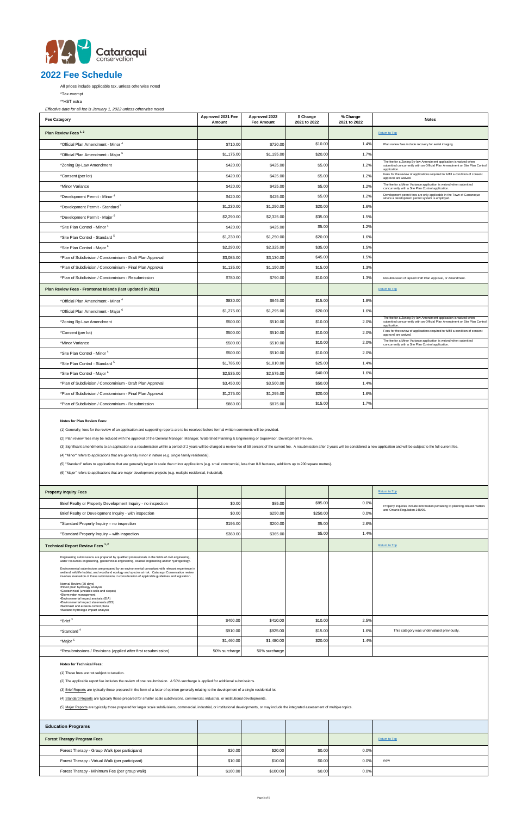

All prices include applicable tax, unless otherwise noted

\*Tax exempt

\*\*HST extra

*Effective date for all fee is January 1, 2022 unless otherwise noted*

| <b>Fee Category</b>                                         | Approved 2021 Fee<br>Amount | Approved 2022<br><b>Fee Amount</b> | \$ Change<br>2021 to 2022 | % Change<br>2021 to 2022 | <b>Notes</b>                                                                                                                                                    |
|-------------------------------------------------------------|-----------------------------|------------------------------------|---------------------------|--------------------------|-----------------------------------------------------------------------------------------------------------------------------------------------------------------|
| Plan Review Fees <sup>1,2</sup>                             |                             |                                    |                           |                          | <b>Return to Top</b>                                                                                                                                            |
| *Official Plan Amendment - Minor <sup>4</sup>               | \$710.00                    | \$720.00                           | \$10.00                   | 1.4%                     | Plan review fees include recovery for aerial imaging                                                                                                            |
| *Official Plan Amendment - Major <sup>6</sup>               | \$1,175.00                  | \$1,195.00                         | \$20.00                   | 1.7%                     |                                                                                                                                                                 |
| *Zoning By-Law Amendment                                    | \$420.00                    | \$425.00                           | \$5.00                    | 1.2%                     | The fee for a Zoning By-law Amendment application is waived when<br>submitted concurrently with an Official Plan Amendment or Site Plan Control<br>application  |
| *Consent (per lot)                                          | \$420.00                    | \$425.00                           | \$5.00                    | 1.2%                     | Fees for the review of applications required to fulfill a condition of consent<br>approval are waived.                                                          |
| *Minor Variance                                             | \$420.00                    | \$425.00                           | \$5.00                    | 1.2%                     | The fee for a Minor Variance application is waived when submitted<br>concurrently with a Site Plan Control application.                                         |
| *Development Permit - Minor <sup>4</sup>                    | \$420.00                    | \$425.00                           | \$5.00                    | 1.2%                     | Development permit fees are only applicable in the Town of Gananoque<br>where a development permit system is employed.                                          |
| *Development Permit - Standard <sup>5</sup>                 | \$1,230.00                  | \$1,250.00                         | \$20.00                   | 1.6%                     |                                                                                                                                                                 |
| *Development Permit - Major <sup>6</sup>                    | \$2,290.00                  | \$2,325.00                         | \$35.00                   | 1.5%                     |                                                                                                                                                                 |
| *Site Plan Control - Minor <sup>4</sup>                     | \$420.00                    | \$425.00                           | \$5.00                    | 1.2%                     |                                                                                                                                                                 |
| *Site Plan Control - Standard <sup>5</sup>                  | \$1,230.00                  | \$1,250.00                         | \$20.00                   | 1.6%                     |                                                                                                                                                                 |
| *Site Plan Control - Major 6                                | \$2,290.00                  | \$2,325.00                         | \$35.00                   | 1.5%                     |                                                                                                                                                                 |
| *Plan of Subdivision / Condominium - Draft Plan Approval    | \$3,085.00                  | \$3,130.00                         | \$45.00                   | 1.5%                     |                                                                                                                                                                 |
| *Plan of Subdivision / Condominium - Final Plan Approval    | \$1,135.00                  | \$1,150.00                         | \$15.00                   | 1.3%                     |                                                                                                                                                                 |
| *Plan of Subdivision / Condominium - Resubmission           | \$780.00                    | \$790.00                           | \$10.00                   | 1.3%                     | Resubmission of lapsed Draft Plan Approval, or Amendment.                                                                                                       |
| Plan Review Fees - Frontenac Islands (last updated in 2021) |                             |                                    |                           |                          | <b>Return to Top</b>                                                                                                                                            |
| *Official Plan Amendment - Minor <sup>4</sup>               | \$830.00                    | \$845.00                           | \$15.00                   | 1.8%                     |                                                                                                                                                                 |
| *Official Plan Amendment - Major <sup>6</sup>               | \$1,275.00                  | \$1,295.00                         | \$20.00                   | 1.6%                     |                                                                                                                                                                 |
| *Zoning By-Law Amendment                                    | \$500.00                    | \$510.00                           | \$10.00                   | 2.0%                     | The fee for a Zoning By-law Amendment application is waived when<br>submitted concurrently with an Official Plan Amendment or Site Plan Control<br>application. |
| *Consent (per lot)                                          | \$500.00                    | \$510.00                           | \$10.00                   | 2.0%                     | Fees for the review of applications required to fulfill a condition of consent<br>approval are waived.                                                          |
| *Minor Variance                                             | \$500.00                    | \$510.00                           | \$10.00                   | 2.0%                     | The fee for a Minor Variance application is waived when submitted<br>concurrently with a Site Plan Control application.                                         |
| *Site Plan Control - Minor <sup>4</sup>                     | \$500.00                    | \$510.00                           | \$10.00                   | 2.0%                     |                                                                                                                                                                 |
| *Site Plan Control - Standard <sup>5</sup>                  | \$1,785.00                  | \$1,810.00                         | \$25.00                   | 1.4%                     |                                                                                                                                                                 |
| *Site Plan Control - Major 6                                | \$2,535.00                  | \$2,575.00                         | \$40.00                   | 1.6%                     |                                                                                                                                                                 |
| *Plan of Subdivision / Condominium - Draft Plan Approval    | \$3,450.00                  | \$3,500.00                         | \$50.00                   | 1.4%                     |                                                                                                                                                                 |
| *Plan of Subdivision / Condominium - Final Plan Approval    | \$1,275.00                  | \$1,295.00                         | \$20.00                   | 1.6%                     |                                                                                                                                                                 |
| *Plan of Subdivision / Condominium - Resubmission           | \$860.00                    | \$875.00                           | \$15.00                   | 1.7%                     |                                                                                                                                                                 |

| <b>Property Inquiry Fees</b>                                                                                                                                                                                                                                                                                                                                                                                                                                                                                                                                                                                                                                                                                                                                                                                                  |               |               |          |      | Return to Top                                                                                                   |  |
|-------------------------------------------------------------------------------------------------------------------------------------------------------------------------------------------------------------------------------------------------------------------------------------------------------------------------------------------------------------------------------------------------------------------------------------------------------------------------------------------------------------------------------------------------------------------------------------------------------------------------------------------------------------------------------------------------------------------------------------------------------------------------------------------------------------------------------|---------------|---------------|----------|------|-----------------------------------------------------------------------------------------------------------------|--|
|                                                                                                                                                                                                                                                                                                                                                                                                                                                                                                                                                                                                                                                                                                                                                                                                                               |               |               |          |      |                                                                                                                 |  |
| Brief Realty or Property Development Inquiry - no inspection                                                                                                                                                                                                                                                                                                                                                                                                                                                                                                                                                                                                                                                                                                                                                                  | \$0.00        | \$85.00       | \$85.00  | 0.0% | Property inquiries include information pertaining to planning related matters<br>and Ontario Regulation 148/06. |  |
| Brief Realty or Development Inquiry - with inspection                                                                                                                                                                                                                                                                                                                                                                                                                                                                                                                                                                                                                                                                                                                                                                         | \$0.00        | \$250.00      | \$250.00 | 0.0% |                                                                                                                 |  |
| *Standard Property Inquiry - no inspection                                                                                                                                                                                                                                                                                                                                                                                                                                                                                                                                                                                                                                                                                                                                                                                    | \$195.00      | \$200.00      | \$5.00   | 2.6% |                                                                                                                 |  |
| *Standard Property Inquiry - with inspection                                                                                                                                                                                                                                                                                                                                                                                                                                                                                                                                                                                                                                                                                                                                                                                  | \$360.00      | \$365.00      | \$5.00   | 1.4% |                                                                                                                 |  |
| Technical Report Review Fees <sup>1,2</sup>                                                                                                                                                                                                                                                                                                                                                                                                                                                                                                                                                                                                                                                                                                                                                                                   |               |               |          |      | Return to Top                                                                                                   |  |
| Engineering submissions are prepared by qualified professionals in the fields of civil engineering,<br>water resources engineering, geotechnical engineering, coastal engineering and/or hydrogeology.<br>Environmental submissions are prepared by an environmental consultant with relevant experience in<br>wetland, wildlife habitat, and woodland ecology and species at risk. Cataraqui Conservation review<br>involves evaluation of these submissions in consideration of applicable guidelines and legislation.<br>Normal Review (30 days)<br>·Elood plain hydrology analysis<br>.Geotechnical (unstable soils and slopes)<br>·Stormwater management<br>·Environmental impact analysis (EIA)<br>·Environmental impact statements (EIS)<br>•Sediment and erosion control plans<br>·Wetland hydrologic impact analysis |               |               |          |      |                                                                                                                 |  |
| *Brief <sup>3</sup>                                                                                                                                                                                                                                                                                                                                                                                                                                                                                                                                                                                                                                                                                                                                                                                                           | \$400.00      | \$410.00      | \$10.00  | 2.5% |                                                                                                                 |  |
| *Standard <sup>4</sup>                                                                                                                                                                                                                                                                                                                                                                                                                                                                                                                                                                                                                                                                                                                                                                                                        | \$910.00      | \$925.00      | \$15.00  | 1.6% | This category was undervalued previously.                                                                       |  |
| *Major <sup>5</sup>                                                                                                                                                                                                                                                                                                                                                                                                                                                                                                                                                                                                                                                                                                                                                                                                           | \$1,460.00    | \$1,480.00    | \$20.00  | 1.4% |                                                                                                                 |  |
| *Resubmissions / Revisions (applied after first resubmission)                                                                                                                                                                                                                                                                                                                                                                                                                                                                                                                                                                                                                                                                                                                                                                 | 50% surcharge | 50% surcharge |          |      |                                                                                                                 |  |
| <b>Notes for Technical Fees:</b><br>(1) These fees are not subject to taxation.<br>(2) The applicable report fee includes the review of one resubmission. A 50% surcharge is applied for additional submissions.<br>(3) Brief Reports are typically those prepared in the form of a letter of opinion generally relating to the development of a single residential lot.<br>(4) Standard Reports are typically those prepared for smaller scale subdivisions, commercial, industrial, or institutional developments.<br>(5) Major Reports are typically those prepared for larger scale subdivisions, commercial, industrial, or institutional developments, or may include the integrated assessment of multiple topics.                                                                                                     |               |               |          |      |                                                                                                                 |  |
| <b>Education Programs</b>                                                                                                                                                                                                                                                                                                                                                                                                                                                                                                                                                                                                                                                                                                                                                                                                     |               |               |          |      |                                                                                                                 |  |
| <b>Forest Therapy Program Fees</b>                                                                                                                                                                                                                                                                                                                                                                                                                                                                                                                                                                                                                                                                                                                                                                                            |               |               |          |      | Return to Top                                                                                                   |  |
| Forest Therapy - Group Walk (per participant)                                                                                                                                                                                                                                                                                                                                                                                                                                                                                                                                                                                                                                                                                                                                                                                 | \$20.00       | \$20.00       | \$0.00   | 0.0% |                                                                                                                 |  |
| Forest Therapy - Virtual Walk (per participant)                                                                                                                                                                                                                                                                                                                                                                                                                                                                                                                                                                                                                                                                                                                                                                               | \$10.00       | \$10.00       | \$0.00   | 0.0% | new                                                                                                             |  |
| Forest Therapy - Minimum Fee (per group walk)                                                                                                                                                                                                                                                                                                                                                                                                                                                                                                                                                                                                                                                                                                                                                                                 | \$100.00      | \$100.00      | \$0.00   | 0.0% |                                                                                                                 |  |

#### **Notes for Plan Review Fees:**

(1) Generally, fees for the review of an application and supporting reports are to be received before formal written comments will be provided.

(2) Plan review fees may be reduced with the approval of the General Manager, Manager, Watershed Planning & Engineering or Supervisor, Development Review.

(3) Significant amendments to an application or a resubmission within a period of 2 years will be charged a review fee of 50 percent of the current fee. A resubmission after 2 years will be considered a new application and

(4) "Minor" refers to applications that are generally minor in nature (e.g. single family residential).

(5) "Standard" refers to applications that are generally larger in scale than minor applications (e.g. small commercial, less than 0.8 hectares, additions up to 200 square metres).

(6) "Major" refers to applications that are major development projects (e.g. multiple residential, industrial).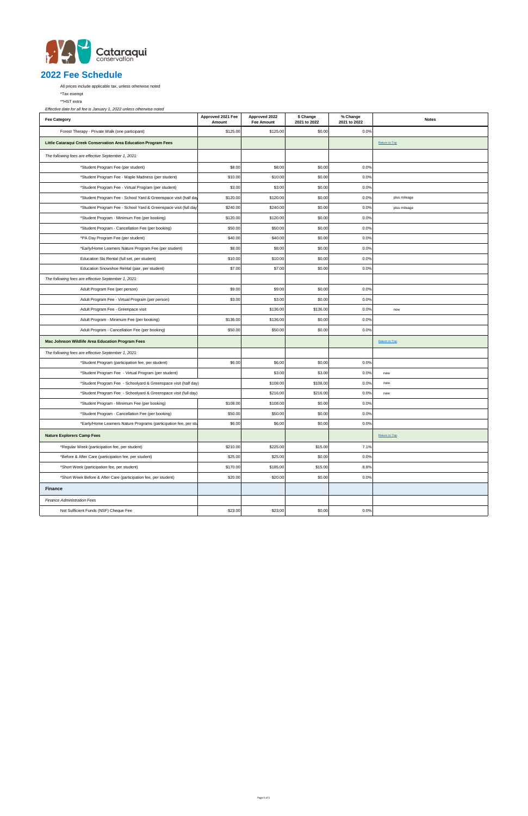

All prices include applicable tax, unless otherwise noted

\*Tax exempt

\*\*HST extra

| <b>Fee Category</b>                                              | Approved 2021 Fee<br>Amount | Approved 2022<br><b>Fee Amount</b> | \$ Change<br>2021 to 2022 | % Change<br>2021 to 2022 | <b>Notes</b>  |
|------------------------------------------------------------------|-----------------------------|------------------------------------|---------------------------|--------------------------|---------------|
| Forest Therapy - Private Walk (one participant)                  | \$125.00                    | \$125.00                           | \$0.00                    | 0.0%                     |               |
| Little Cataraqui Creek Conservation Area Education Program Fees  |                             |                                    |                           |                          | Return to Top |
| The following fees are effective September 1, 2021:              |                             |                                    |                           |                          |               |
| *Student Program Fee (per student)                               | \$8.00                      | \$8.00                             | \$0.00                    | 0.0%                     |               |
| *Student Program Fee - Maple Madness (per student)               | \$10.00                     | \$10.00                            | \$0.00                    | 0.0%                     |               |
| *Student Program Fee - Virtual Program (per student)             | \$3.00                      | \$3.00                             | \$0.00                    | 0.0%                     |               |
| *Student Program Fee - School Yard & Greenspace visit (half day  | \$120.00                    | \$120.00                           | \$0.00                    | 0.0%                     | plus mileage  |
| *Student Program Fee - School Yard & Greenspace visit (full day  | \$240.00                    | \$240.00                           | \$0.00                    | 0.0%                     | plus mileage  |
| *Student Program - Minimum Fee (per booking)                     | \$120.00                    | \$120.00                           | \$0.00                    | 0.0%                     |               |
| *Student Program - Cancellation Fee (per booking)                | \$50.00                     | \$50.00                            | \$0.00                    | 0.0%                     |               |
| *PA Day Program Fee (per student)                                | \$40.00                     | \$40.00                            | \$0.00                    | 0.0%                     |               |
| *Early/Home Learners Nature Program Fee (per student)            | \$8.00                      | \$8.00                             | \$0.00                    | 0.0%                     |               |
| Education Ski Rental (full set, per student)                     | \$10.00                     | \$10.00                            | \$0.00                    | 0.0%                     |               |
| Education Snowshoe Rental (pair, per student)                    | \$7.00                      | \$7.00                             | \$0.00                    | 0.0%                     |               |
| The following fees are effective September 1, 2021:              |                             |                                    |                           |                          |               |
| Adult Program Fee (per person)                                   | \$9.00                      | \$9.00                             | \$0.00                    | 0.0%                     |               |
| Adult Program Fee - Virtual Program (per person)                 | \$3.00                      | \$3.00                             | \$0.00                    | 0.0%                     |               |
| Adult Program Fee - Greenpace visit                              |                             | \$136.00                           | \$136.00                  | 0.0%                     | new           |
| Adult Program - Minimum Fee (per booking)                        | \$136.00                    | \$136.00                           | \$0.00                    | 0.0%                     |               |
| Adult Program - Cancellation Fee (per booking)                   | \$50.00                     | \$50.00                            | \$0.00                    | 0.0%                     |               |
| Mac Johnson Wildlife Area Education Program Fees                 |                             |                                    |                           |                          | Return to Top |
| The following fees are effective September 1, 2021:              |                             |                                    |                           |                          |               |
| *Student Program (participation fee, per student)                | \$6.00                      | \$6.00                             | \$0.00                    | 0.0%                     |               |
| *Student Program Fee - Virtual Program (per student)             |                             | \$3.00                             | \$3.00                    | 0.0%                     | new           |
| *Student Program Fee - Schoolyard & Greenspace visit (half day)  |                             | \$108.00                           | \$108.00                  | 0.0%                     | new           |
| *Student Program Fee - Schoolyard & Greenspace visit (full day)  |                             | \$216.00                           | \$216.00                  | 0.0%                     | new           |
| *Student Program - Minimum Fee (per booking)                     | \$108.00                    | \$108.00                           | \$0.00                    | 0.0%                     |               |
| *Student Program - Cancellation Fee (per booking)                | \$50.00                     | \$50.00                            | \$0.00                    | 0.0%                     |               |
| *Early/Home Learners Nature Programs (participation fee, per stu | \$6.00                      | \$6.00                             | \$0.00                    | 0.0%                     |               |
| <b>Nature Explorers Camp Fees</b>                                |                             |                                    |                           |                          | Return to Top |
| *Regular Week (participation fee, per student)                   | \$210.00                    | \$225.00                           | \$15.00                   | 7.1%                     |               |
| *Before & After Care (participation fee, per student)            | \$25.00                     | \$25.00                            | \$0.00                    | 0.0%                     |               |
| *Short Week (participation fee, per student)                     | \$170.00                    | \$185.00                           | \$15.00                   | 8.8%                     |               |
| *Short Week Before & After Care (participation fee, per student) | \$20.00                     | \$20.00                            | \$0.00                    | 0.0%                     |               |
| <b>Finance</b>                                                   |                             |                                    |                           |                          |               |
| <b>Finance Administration Fees</b>                               |                             |                                    |                           |                          |               |
| Not Sufficient Funds (NSF) Cheque Fee                            | \$23.00                     | \$23.00                            | \$0.00                    | 0.0%                     |               |